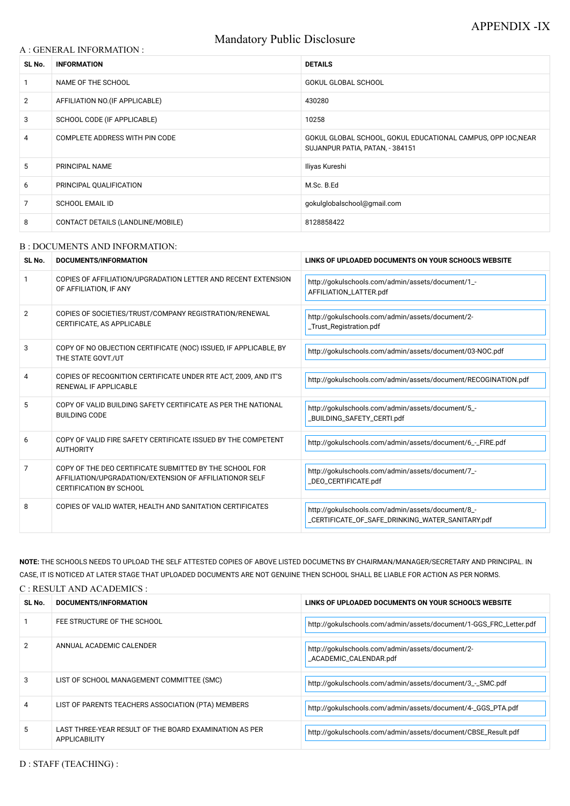# Mandatory Public Disclosure

#### A : GENERAL INFORMATION :

| SL No.         | <b>INFORMATION</b>                | <b>DETAILS</b>                                                                                  |
|----------------|-----------------------------------|-------------------------------------------------------------------------------------------------|
|                | NAME OF THE SCHOOL                | <b>GOKUL GLOBAL SCHOOL</b>                                                                      |
| $\overline{2}$ | AFFILIATION NO. (IF APPLICABLE)   | 430280                                                                                          |
| 3              | SCHOOL CODE (IF APPLICABLE)       | 10258                                                                                           |
| 4              | COMPLETE ADDRESS WITH PIN CODE    | GOKUL GLOBAL SCHOOL, GOKUL EDUCATIONAL CAMPUS, OPP IOC, NEAR<br>SUJANPUR PATIA, PATAN, - 384151 |
| 5              | PRINCIPAL NAME                    | Iliyas Kureshi                                                                                  |
| 6              | PRINCIPAL QUALIFICATION           | M.Sc. B.Ed                                                                                      |
| 7              | <b>SCHOOL EMAIL ID</b>            | gokulglobalschool@gmail.com                                                                     |
| 8              | CONTACT DETAILS (LANDLINE/MOBILE) | 8128858422                                                                                      |

#### B : DOCUMENTS AND INFORMATION:

| SL No.         | <b>DOCUMENTS/INFORMATION</b>                                                                                                                         | LINKS OF UPLOADED DOCUMENTS ON YOUR SCHOOL'S WEBSITE                                                  |
|----------------|------------------------------------------------------------------------------------------------------------------------------------------------------|-------------------------------------------------------------------------------------------------------|
|                | COPIES OF AFFILIATION/UPGRADATION LETTER AND RECENT EXTENSION<br>OF AFFILIATION, IF ANY                                                              | http://gokulschools.com/admin/assets/document/1_-<br>AFFILIATION_LATTER.pdf                           |
| $\overline{2}$ | COPIES OF SOCIETIES/TRUST/COMPANY REGISTRATION/RENEWAL<br>CERTIFICATE, AS APPLICABLE                                                                 | http://gokulschools.com/admin/assets/document/2-<br>_Trust_Registration.pdf                           |
| 3              | COPY OF NO OBJECTION CERTIFICATE (NOC) ISSUED, IF APPLICABLE, BY<br>THE STATE GOVT./UT                                                               | http://gokulschools.com/admin/assets/document/03-NOC.pdf                                              |
| 4              | COPIES OF RECOGNITION CERTIFICATE UNDER RTE ACT, 2009, AND IT'S<br><b>RENEWAL IF APPLICABLE</b>                                                      | http://gokulschools.com/admin/assets/document/RECOGINATION.pdf                                        |
| 5              | COPY OF VALID BUILDING SAFETY CERTIFICATE AS PER THE NATIONAL<br><b>BUILDING CODE</b>                                                                | http://gokulschools.com/admin/assets/document/5_-<br>_BUILDING_SAFETY_CERTI.pdf                       |
| 6              | COPY OF VALID FIRE SAFETY CERTIFICATE ISSUED BY THE COMPETENT<br><b>AUTHORITY</b>                                                                    | http://gokulschools.com/admin/assets/document/6_-_FIRE.pdf                                            |
| 7              | COPY OF THE DEO CERTIFICATE SUBMITTED BY THE SCHOOL FOR<br>AFFILIATION/UPGRADATION/EXTENSION OF AFFILIATIONOR SELF<br><b>CERTIFICATION BY SCHOOL</b> | http://gokulschools.com/admin/assets/document/7_-<br>_DEO_CERTIFICATE.pdf                             |
| 8              | COPIES OF VALID WATER, HEALTH AND SANITATION CERTIFICATES                                                                                            | http://gokulschools.com/admin/assets/document/8_-<br>_CERTIFICATE_OF_SAFE_DRINKING_WATER_SANITARY.pdf |

|   | FEE STRUCTURE OF THE SCHOOL                                                    | http://gokulschools.com/admin/assets/document/1-GGS_FRC_Letter.pdf         |
|---|--------------------------------------------------------------------------------|----------------------------------------------------------------------------|
|   | ANNUAL ACADEMIC CALENDER                                                       | http://gokulschools.com/admin/assets/document/2-<br>_ACADEMIC_CALENDAR.pdf |
|   | LIST OF SCHOOL MANAGEMENT COMMITTEE (SMC)                                      | http://gokulschools.com/admin/assets/document/3_-_SMC.pdf                  |
| 4 | LIST OF PARENTS TEACHERS ASSOCIATION (PTA) MEMBERS                             | http://gokulschools.com/admin/assets/document/4-_GGS_PTA.pdf               |
| 5 | LAST THREE-YEAR RESULT OF THE BOARD EXAMINATION AS PER<br><b>APPLICABILITY</b> | http://gokulschools.com/admin/assets/document/CBSE_Result.pdf              |

D : STAFF (TEACHING) :

NOTE: THE SCHOOLS NEEDS TO UPLOAD THE SELF ATTESTED COPIES OF ABOVE LISTED DOCUMETNS BY CHAIRMAN/MANAGER/SECRETARY AND PRINCIPAL. IN CASE, IT IS NOTICED AT LATER STAGE THAT UPLOADED DOCUMENTS ARE NOT GENUINE THEN SCHOOL SHALL BE LIABLE FOR ACTION AS PER NORMS.

C : RESULT AND ACADEMICS :